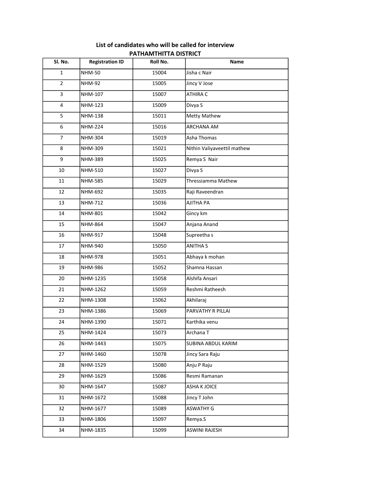| List of candidates who will be called for interview |
|-----------------------------------------------------|
| <b>PATHAMTHITTA DISTRICT</b>                        |

| Sl. No.        | <b>Registration ID</b> | Roll No. | Name                        |
|----------------|------------------------|----------|-----------------------------|
| $\mathbf{1}$   | <b>NHM-50</b>          | 15004    | Jisha c Nair                |
| $\overline{2}$ | <b>NHM-92</b>          | 15005    | Jincy V Jose                |
| 3              | NHM-107                | 15007    | ATHIRA C                    |
| $\overline{4}$ | NHM-123                | 15009    | Divya S                     |
| 5              | <b>NHM-138</b>         | 15011    | Metty Mathew                |
| 6              | <b>NHM-224</b>         | 15016    | ARCHANA AM                  |
| $\overline{7}$ | NHM-304                | 15019    | Asha Thomas                 |
| 8              | NHM-309                | 15021    | Nithin Valiyaveettil mathew |
| 9              | NHM-389                | 15025    | Remya S Nair                |
| 10             | NHM-510                | 15027    | Divya S                     |
| 11             | <b>NHM-585</b>         | 15029    | Thressiamma Mathew          |
| 12             | NHM-692                | 15035    | Raji Raveendran             |
| 13             | <b>NHM-712</b>         | 15036    | AJITHA PA                   |
| 14             | <b>NHM-801</b>         | 15042    | Gincy km                    |
| 15             | NHM-864                | 15047    | Anjana Anand                |
| 16             | NHM-917                | 15048    | Supreetha s                 |
| 17             | NHM-940                | 15050    | <b>ANITHA S</b>             |
| 18             | <b>NHM-978</b>         | 15051    | Abhaya k mohan              |
| 19             | NHM-986                | 15052    | Shamna Hassan               |
| 20             | NHM-1235               | 15058    | Alshifa Ansari              |
| 21             | NHM-1262               | 15059    | Reshmi Ratheesh             |
| 22             | NHM-1308               | 15062    | Akhilaraj                   |
| 23             | NHM-1386               | 15069    | PARVATHY R PILLAI           |
| 24             | NHM-1390               | 15071    | Karthika venu               |
| 25             | NHM-1424               | 15073    | Archana T                   |
| 26             | NHM-1443               | 15075    | SUBINA ABDUL KARIM          |
| 27             | NHM-1460               | 15078    | Jincy Sara Raju             |
| 28             | NHM-1529               | 15080    | Anju P Raju                 |
| 29             | NHM-1629               | 15086    | Resmi Ramanan               |
| 30             | NHM-1647               | 15087    | ASHA K JOICE                |
| 31             | NHM-1672               | 15088    | Jincy T John                |
| 32             | NHM-1677               | 15089    | <b>ASWATHY G</b>            |
| 33             | NHM-1806               | 15097    | Remya.S                     |
| 34             | NHM-1835               | 15099    | ASWINI RAJESH               |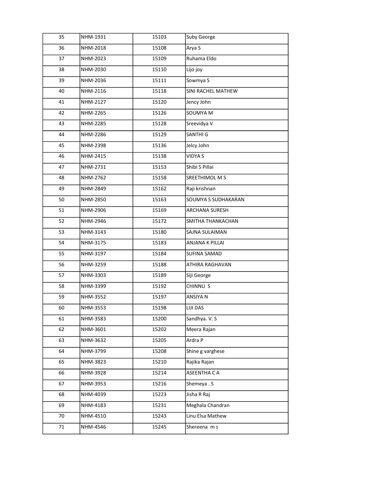| 35 | NHM-1931 | 15103 | Suby George           |
|----|----------|-------|-----------------------|
| 36 | NHM-2018 | 15108 | Arya S                |
| 37 | NHM-2023 | 15109 | Ruhama Eldo           |
| 38 | NHM-2030 | 15110 | Lijo joy              |
| 39 | NHM-2036 | 15111 | Sowmya S              |
| 40 | NHM-2116 | 15118 | SINI RACHEL MATHEW    |
| 41 | NHM-2127 | 15120 | Jency John            |
| 42 | NHM-2265 | 15126 | SOUMYA M              |
| 43 | NHM-2285 | 15128 | Sreevidya V           |
| 44 | NHM-2286 | 15129 | SANTHI G              |
| 45 | NHM-2398 | 15136 | Jelcy John            |
| 46 | NHM-2415 | 15138 | VIDYA S               |
| 47 | NHM-2731 | 15153 | Shibi S Pillai        |
| 48 | NHM-2762 | 15158 | SREETHIMOL M S        |
| 49 | NHM-2849 | 15162 | Raji krishnan         |
| 50 | NHM-2850 | 15163 | SOUMYA S SUDHAKARAN   |
| 51 | NHM-2906 | 15169 | <b>ARCHANA SURESH</b> |
| 52 | NHM-2946 | 15172 | SMITHA THANKACHAN     |
| 53 | NHM-3143 | 15180 | SAJNA SULAIMAN        |
| 54 | NHM-3175 | 15183 | ANJANA K PILLAI       |
| 55 | NHM-3197 | 15184 | <b>SUFINA SAMAD</b>   |
| 56 | NHM-3259 | 15188 | ATHIRA RAGHAVAN       |
| 57 | NHM-3303 | 15189 | Siji George           |
| 58 | NHM-3399 | 15192 | CHINNU S              |
| 59 | NHM-3552 | 15197 | ANSIYA N              |
| 60 | NHM-3553 | 15198 | LIJI DAS              |
| 61 | NHM-3583 | 15200 | Sandhya. V. S         |
| 62 | NHM-3601 | 15202 | Meera Rajan           |
| 63 | NHM-3632 | 15205 | Ardra P               |
| 64 | NHM-3799 | 15208 | Shine g varghese      |
| 65 | NHM-3823 | 15210 | Rajika Rajan          |
| 66 | NHM-3928 | 15214 | ASEENTHA C A          |
| 67 | NHM-3953 | 15216 | Shemeya . S           |
| 68 | NHM-4039 | 15223 | Jisha R Raj           |
| 69 | NHM-4183 | 15231 | Meghala Chandran      |
| 70 | NHM-4510 | 15243 | Linu Elsa Mathew      |
| 71 | NHM-4546 | 15245 | Shereena m s          |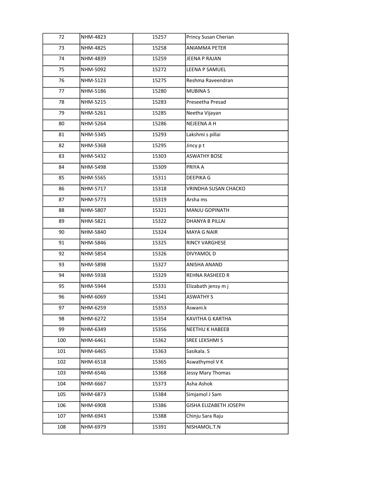| 72  | NHM-4823 | 15257 | Princy Susan Cherian        |
|-----|----------|-------|-----------------------------|
| 73  | NHM-4825 | 15258 | <b>ANIAMMA PETER</b>        |
| 74  | NHM-4839 | 15259 | JEENA P RAJAN               |
| 75  | NHM-5092 | 15272 | <b>LEENA P SAMUEL</b>       |
| 76  | NHM-5123 | 15275 | Reshma Raveendran           |
| 77  | NHM-5186 | 15280 | <b>MUBINAS</b>              |
| 78  | NHM-5215 | 15283 | Preseetha Presad            |
| 79  | NHM-5261 | 15285 | Neetha Vijayan              |
| 80  | NHM-5264 | 15286 | NEJEENA A H                 |
| 81  | NHM-5345 | 15293 | Lakshmi s pillai            |
| 82  | NHM-5368 | 15295 | Jincy pt                    |
| 83  | NHM-5432 | 15303 | <b>ASWATHY BOSE</b>         |
| 84  | NHM-5498 | 15309 | PRIYA A                     |
| 85  | NHM-5565 | 15311 | <b>DEEPIKA G</b>            |
| 86  | NHM-5717 | 15318 | <b>VRINDHA SUSAN CHACKO</b> |
| 87  | NHM-5773 | 15319 | Arsha ms                    |
| 88  | NHM-5807 | 15321 | MANJU GOPINATH              |
| 89  | NHM-5821 | 15322 | DHANYA B PILLAI             |
| 90  | NHM-5840 | 15324 | <b>MAYA G NAIR</b>          |
| 91  | NHM-5846 | 15325 | <b>RINCY VARGHESE</b>       |
| 92  | NHM-5854 | 15326 | DIVYAMOL D                  |
| 93  | NHM-5898 | 15327 | ANISHA ANAND                |
| 94  | NHM-5938 | 15329 | REHNA RASHEED R             |
| 95  | NHM-5944 | 15331 | Elizabath jensy m j         |
| 96  | NHM-6069 | 15341 | <b>ASWATHY S</b>            |
| 97  | NHM-6259 | 15353 | Aswani.k                    |
| 98  | NHM-6272 | 15354 | KAVITHA G KARTHA            |
| 99  | NHM-6349 | 15356 | NEETHU K HABEEB             |
| 100 | NHM-6461 | 15362 | SREE LEKSHMI S              |
| 101 | NHM-6465 | 15363 | Sasikala. S                 |
| 102 | NHM-6518 | 15365 | Aswathymol V K              |
| 103 | NHM-6546 | 15368 | Jessy Mary Thomas           |
| 104 | NHM-6667 | 15373 | Asha Ashok                  |
| 105 | NHM-6873 | 15384 | Simjamol J Sam              |
| 106 | NHM-6908 | 15386 | GISHA ELIZABETH JOSEPH      |
| 107 | NHM-6943 | 15388 | Chinju Sara Raju            |
| 108 | NHM-6979 | 15391 | NISHAMOL.T.N                |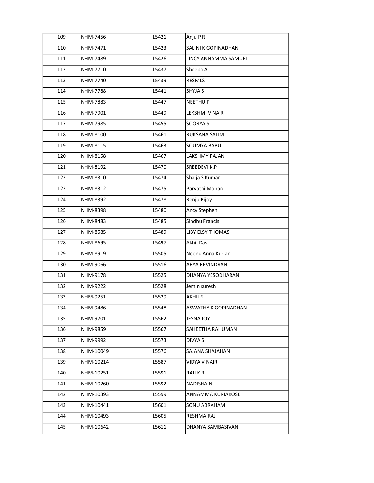| 109 | NHM-7456  | 15421 | Anju P R                |
|-----|-----------|-------|-------------------------|
| 110 | NHM-7471  | 15423 | SALINI K GOPINADHAN     |
| 111 | NHM-7489  | 15426 | LINCY ANNAMMA SAMUEL    |
| 112 | NHM-7710  | 15437 | Sheeba A                |
| 113 | NHM-7740  | 15439 | RESMI.S                 |
| 114 | NHM-7788  | 15441 | SHYJA S                 |
| 115 | NHM-7883  | 15447 | <b>NEETHUP</b>          |
| 116 | NHM-7901  | 15449 | LEKSHMI V NAIR          |
| 117 | NHM-7985  | 15455 | SOORYA S                |
| 118 | NHM-8100  | 15461 | RUKSANA SALIM           |
| 119 | NHM-8115  | 15463 | SOUMYA BABU             |
| 120 | NHM-8158  | 15467 | LAKSHMY RAJAN           |
| 121 | NHM-8192  | 15470 | <b>SREEDEVI K.P</b>     |
| 122 | NHM-8310  | 15474 | Shalja S Kumar          |
| 123 | NHM-8312  | 15475 | Parvathi Mohan          |
| 124 | NHM-8392  | 15478 | Renju Bijoy             |
| 125 | NHM-8398  | 15480 | Ancy Stephen            |
| 126 | NHM-8483  | 15485 | Sindhu Francis          |
| 127 | NHM-8585  | 15489 | <b>LIBY ELSY THOMAS</b> |
| 128 | NHM-8695  | 15497 | Akhil Das               |
| 129 | NHM-8919  | 15505 | Neenu Anna Kurian       |
| 130 | NHM-9066  | 15516 | ARYA REVINDRAN          |
| 131 | NHM-9178  | 15525 | DHANYA YESODHARAN       |
| 132 | NHM-9222  | 15528 | Jemin suresh            |
| 133 | NHM-9251  | 15529 | AKHIL S                 |
| 134 | NHM-9486  | 15548 | ASWATHY K GOPINADHAN    |
| 135 | NHM-9701  | 15562 | JESNA JOY               |
| 136 | NHM-9859  | 15567 | SAHEETHA RAHUMAN        |
| 137 | NHM-9992  | 15573 | DIVYA S                 |
| 138 | NHM-10049 | 15576 | SAJANA SHAJAHAN         |
| 139 | NHM-10214 | 15587 | VIDYA V NAIR            |
| 140 | NHM-10251 | 15591 | RAJI K R                |
| 141 | NHM-10260 | 15592 | NADISHA N               |
| 142 | NHM-10393 | 15599 | ANNAMMA KURIAKOSE       |
| 143 | NHM-10441 | 15601 | SONU ABRAHAM            |
| 144 | NHM-10493 | 15605 | RESHMA RAJ              |
| 145 | NHM-10642 | 15611 | DHANYA SAMBASIVAN       |
|     |           |       |                         |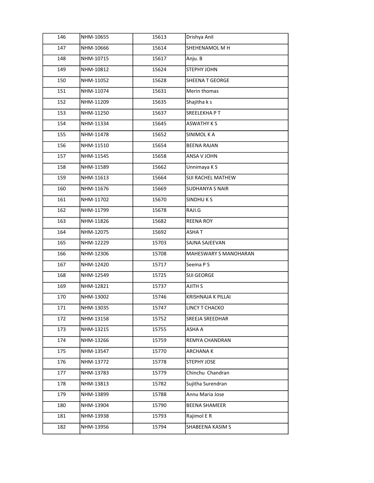| 146 | NHM-10655 | 15613 | Drishya Anil              |
|-----|-----------|-------|---------------------------|
| 147 | NHM-10666 | 15614 | SHEHENAMOL M H            |
| 148 | NHM-10715 | 15617 | Anju. B                   |
| 149 | NHM-10812 | 15624 | STEPHY JOHN               |
| 150 | NHM-11052 | 15628 | <b>SHEENA T GEORGE</b>    |
| 151 | NHM-11074 | 15631 | Merin thomas              |
| 152 | NHM-11209 | 15635 | Shajitha k s              |
| 153 | NHM-11250 | 15637 | SREELEKHAPT               |
| 154 | NHM-11334 | 15645 | <b>ASWATHY K S</b>        |
| 155 | NHM-11478 | 15652 | SINIMOL K A               |
| 156 | NHM-11510 | 15654 | <b>BEENA RAJAN</b>        |
| 157 | NHM-11545 | 15658 | ANSA V JOHN               |
| 158 | NHM-11589 | 15662 | Unnimaya K S              |
| 159 | NHM-11613 | 15664 | SIJI RACHEL MATHEW        |
| 160 | NHM-11676 | 15669 | <b>SUDHANYA S NAIR</b>    |
| 161 | NHM-11702 | 15670 | <b>SINDHUKS</b>           |
| 162 | NHM-11799 | 15678 | RAJI.G                    |
| 163 | NHM-11826 | 15682 | <b>REENA ROY</b>          |
| 164 | NHM-12075 | 15692 | <b>ASHAT</b>              |
| 165 | NHM-12229 | 15703 | SAJNA SAJEEVAN            |
| 166 | NHM-12306 | 15708 | MAHESWARY S MANOHARAN     |
| 167 | NHM-12420 | 15717 | Seema P S                 |
| 168 | NHM-12549 | 15725 | SIJI GEORGE               |
| 169 | NHM-12821 | 15737 | AJITH S                   |
| 170 | NHM-13002 | 15746 | <b>KRISHNAJA K PILLAI</b> |
| 171 | NHM-13035 | 15747 | LINCY T CHACKO            |
| 172 | NHM-13158 | 15752 | SREEJA SREEDHAR           |
| 173 | NHM-13215 | 15755 | ASHA A                    |
| 174 | NHM-13266 | 15759 | REMYA CHANDRAN            |
| 175 | NHM-13547 | 15770 | ARCHANA K                 |
| 176 | NHM-13772 | 15778 | STEPHY JOSE               |
| 177 | NHM-13783 | 15779 | Chinchu Chandran          |
| 178 | NHM-13813 | 15782 | Sujitha Surendran         |
| 179 | NHM-13899 | 15788 | Annu Maria Jose           |
| 180 | NHM-13904 | 15790 | <b>BEENA SHAMEER</b>      |
| 181 | NHM-13938 | 15793 | Rajimol E R               |
| 182 | NHM-13956 | 15794 | SHABEENA KASIM S          |
|     |           |       |                           |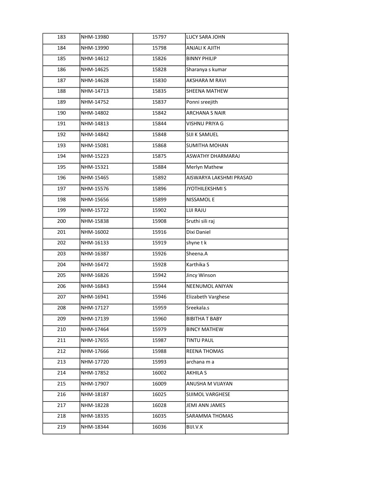| 183 | NHM-13980 | 15797 | <b>LUCY SARA JOHN</b>   |
|-----|-----------|-------|-------------------------|
| 184 | NHM-13990 | 15798 | ANJALI K AJITH          |
| 185 | NHM-14612 | 15826 | <b>BINNY PHILIP</b>     |
| 186 | NHM-14625 | 15828 | Sharanya s kumar        |
| 187 | NHM-14628 | 15830 | AKSHARA M RAVI          |
| 188 | NHM-14713 | 15835 | SHEENA MATHEW           |
| 189 | NHM-14752 | 15837 | Ponni sreejith          |
| 190 | NHM-14802 | 15842 | <b>ARCHANA S NAIR</b>   |
| 191 | NHM-14813 | 15844 | VISHNU PRIYA G          |
| 192 | NHM-14842 | 15848 | SIJI K SAMUEL           |
| 193 | NHM-15081 | 15868 | <b>SUMITHA MOHAN</b>    |
| 194 | NHM-15223 | 15875 | ASWATHY DHARMARAJ       |
| 195 | NHM-15321 | 15884 | Merlyn Mathew           |
| 196 | NHM-15465 | 15892 | AISWARYA LAKSHMI PRASAD |
| 197 | NHM-15576 | 15896 | <b>JYOTHILEKSHMI S</b>  |
| 198 | NHM-15656 | 15899 | <b>NISSAMOLE</b>        |
| 199 | NHM-15722 | 15902 | LIJI RAJU               |
| 200 | NHM-15838 | 15908 | Sruthi sili raj         |
| 201 | NHM-16002 | 15916 | Dixi Daniel             |
| 202 | NHM-16133 | 15919 | shyne t k               |
| 203 | NHM-16387 | 15926 | Sheena.A                |
| 204 | NHM-16472 | 15928 | Karthika S              |
| 205 | NHM-16826 | 15942 | Jincy Winson            |
| 206 | NHM-16843 | 15944 | NEENUMOL ANIYAN         |
| 207 | NHM-16941 | 15946 | Elizabeth Varghese      |
| 208 | NHM-17127 | 15959 | Sreekala.s              |
| 209 | NHM-17139 | 15960 | <b>BIBITHA T BABY</b>   |
| 210 | NHM-17464 | 15979 | <b>BINCY MATHEW</b>     |
| 211 | NHM-17655 | 15987 | TINTU PAUL              |
| 212 | NHM-17666 | 15988 | REENA THOMAS            |
| 213 | NHM-17720 | 15993 | archana m a             |
| 214 | NHM-17852 | 16002 | AKHILA S                |
| 215 | NHM-17907 | 16009 | ANUSHA M VIJAYAN        |
| 216 | NHM-18187 | 16025 | SIJIMOL VARGHESE        |
| 217 | NHM-18228 | 16028 | JEMI ANN JAMES          |
| 218 | NHM-18335 | 16035 | SARAMMA THOMAS          |
| 219 | NHM-18344 | 16036 | BIJI.V.K                |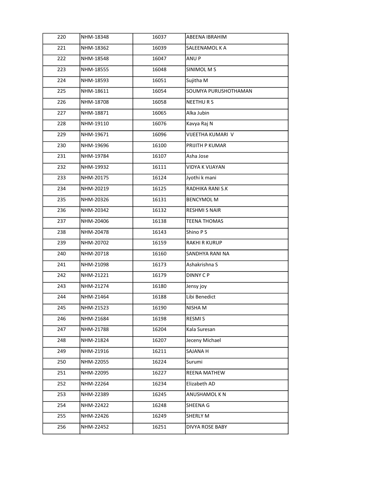| 220 | NHM-18348 | 16037 | ABEENA IBRAHIM         |
|-----|-----------|-------|------------------------|
| 221 | NHM-18362 | 16039 | SALEENAMOL K A         |
| 222 | NHM-18548 | 16047 | ANU P                  |
| 223 | NHM-18555 | 16048 | <b>SINIMOL MS</b>      |
| 224 | NHM-18593 | 16051 | Sujitha M              |
| 225 | NHM-18611 | 16054 | SOUMYA PURUSHOTHAMAN   |
| 226 | NHM-18708 | 16058 | NEETHURS               |
| 227 | NHM-18871 | 16065 | Alka Jubin             |
| 228 | NHM-19110 | 16076 | Kavya Raj N            |
| 229 | NHM-19671 | 16096 | VIJEETHA KUMARI V      |
| 230 | NHM-19696 | 16100 | PRIJITH P KUMAR        |
| 231 | NHM-19784 | 16107 | Asha Jose              |
| 232 | NHM-19932 | 16111 | <b>VIDYA K VIJAYAN</b> |
| 233 | NHM-20175 | 16124 | Jyothi k mani          |
| 234 | NHM-20219 | 16125 | RADHIKA RANI S.K       |
| 235 | NHM-20326 | 16131 | <b>BENCYMOL M</b>      |
| 236 | NHM-20342 | 16132 | <b>RESHMI S NAIR</b>   |
| 237 | NHM-20406 | 16138 | <b>TEENA THOMAS</b>    |
| 238 | NHM-20478 | 16143 | Shino P S              |
| 239 | NHM-20702 | 16159 | <b>RAKHI R KURUP</b>   |
| 240 | NHM-20718 | 16160 | SANDHYA RANI NA        |
| 241 | NHM-21098 | 16173 | Ashakrishna S          |
| 242 | NHM-21221 | 16179 | <b>DINNY CP</b>        |
| 243 | NHM-21274 | 16180 | Jensy joy              |
| 244 | NHM-21464 | 16188 | Libi Benedict          |
| 245 | NHM-21523 | 16190 | NISHA M                |
| 246 | NHM-21684 | 16198 | RESMI S                |
| 247 | NHM-21788 | 16204 | Kala Suresan           |
| 248 | NHM-21824 | 16207 | Jeceny Michael         |
| 249 | NHM-21916 | 16211 | <b>SAJANA H</b>        |
| 250 | NHM-22055 | 16224 | Surumi                 |
| 251 | NHM-22095 | 16227 | REENA MATHEW           |
| 252 | NHM-22264 | 16234 | Elizabeth AD           |
| 253 | NHM-22389 | 16245 | ANUSHAMOL K N          |
| 254 | NHM-22422 | 16248 | SHEENA G               |
| 255 | NHM-22426 | 16249 | SHERLY M               |
| 256 | NHM-22452 | 16251 | DIVYA ROSE BABY        |
|     |           |       |                        |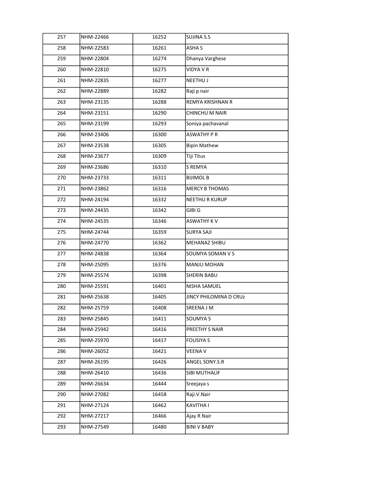| 257 | NHM-22466 | 16252 | SUJINA S.S             |
|-----|-----------|-------|------------------------|
| 258 | NHM-22583 | 16261 | ASHA S                 |
| 259 | NHM-22804 | 16274 | Dhanya Varghese        |
| 260 | NHM-22810 | 16275 | VIDYA V R              |
| 261 | NHM-22835 | 16277 | NEETHU J               |
| 262 | NHM-22889 | 16282 | Raji p nair            |
| 263 | NHM-23135 | 16288 | REMYA KRISHNAN R       |
| 264 | NHM-23151 | 16290 | CHINCHU M NAIR         |
| 265 | NHM-23199 | 16293 | Soniya pachavanal      |
| 266 | NHM-23406 | 16300 | <b>ASWATHY P R</b>     |
| 267 | NHM-23538 | 16305 | <b>Bipin Mathew</b>    |
| 268 | NHM-23677 | 16309 | Tiji Titus             |
| 269 | NHM-23686 | 16310 | S REMYA                |
| 270 | NHM-23733 | 16311 | <b>BIJIMOL B</b>       |
| 271 | NHM-23862 | 16316 | <b>MERCY B THOMAS</b>  |
| 272 | NHM-24194 | 16332 | <b>NEETHU R KURUP</b>  |
| 273 | NHM-24435 | 16342 | GIBI G                 |
| 274 | NHM-24535 | 16346 | <b>ASWATHY KV</b>      |
| 275 | NHM-24744 | 16359 | <b>SURYA SAJI</b>      |
| 276 | NHM-24770 | 16362 | MEHANAZ SHIBU          |
| 277 | NHM-24838 | 16364 | SOUMYA SOMAN V S       |
| 278 | NHM-25095 | 16376 | MANJU MOHAN            |
| 279 | NHM-25574 | 16398 | <b>SHERIN BABU</b>     |
| 280 | NHM-25591 | 16401 | NISHA SAMUEL           |
| 281 | NHM-25638 | 16405 | JINCY PHILOMINA D CRUZ |
| 282 | NHM-25759 | 16408 | SREENA J M             |
| 283 | NHM-25845 | 16411 | SOUMYA S               |
| 284 | NHM-25942 | 16416 | PREETHY S NAIR         |
| 285 | NHM-25970 | 16417 | <b>FOUSIYA S</b>       |
| 286 | NHM-26052 | 16421 | <b>VEENA V</b>         |
| 287 | NHM-26195 | 16426 | ANGEL SONY.S.R         |
| 288 | NHM-26410 | 16436 | SIBI MUTHALIF          |
| 289 | NHM-26634 | 16444 | Sreejaya s             |
| 290 | NHM-27082 | 16458 | Raji.V.Nair            |
| 291 | NHM-27124 | 16462 | KAVITHA I              |
| 292 | NHM-27217 | 16466 | Ajay R Nair            |
| 293 | NHM-27549 | 16480 | <b>BINI V BABY</b>     |
|     |           |       |                        |